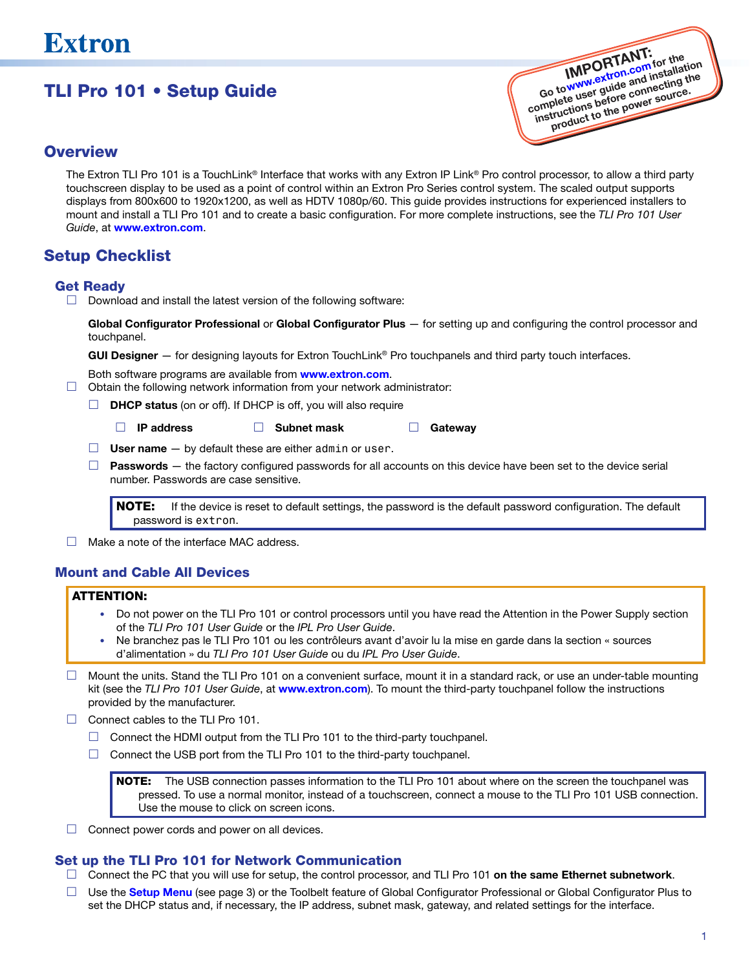# TLI Pro 101 • Setup Guide



## **Overview**

The Extron TLI Pro 101 is a TouchLink<sup>®</sup> Interface that works with any Extron IP Link® Pro control processor, to allow a third party touchscreen display to be used as a point of control within an Extron Pro Series control system. The scaled output supports displays from 800x600 to 1920x1200, as well as HDTV 1080p/60. This guide provides instructions for experienced installers to mount and install a TLI Pro 101 and to create a basic configuration. For more complete instructions, see the *TLI Pro 101 User Guide*, at [www.extron.com](http://www.extron.com).

# Setup Checklist

### Get Ready

 $\Box$  Download and install the latest version of the following software:

Global Configurator Professional or Global Configurator Plus - for setting up and configuring the control processor and touchpanel.

GUI Designer - for designing layouts for Extron TouchLink® Pro touchpanels and third party touch interfaces.

Both software programs are available from **[www.extron.com](http://www.extron.com).** 

- $\Box$  Obtain the following network information from your network administrator:
	- $\Box$  **DHCP status** (on or off). If DHCP is off, you will also require
		- □ IP address □ Subnet mask □ Gateway
	- $\Box$  User name  $-$  by default these are either admin or user.
	- $\Box$  Passwords  $-$  the factory configured passwords for all accounts on this device have been set to the device serial number. Passwords are case sensitive.

NOTE: If the device is reset to default settings, the password is the default password configuration. The default password is extron.

 $\Box$  Make a note of the interface MAC address.

### Mount and Cable All Devices

### ATTENTION:

- Do not power on the TLI Pro 101 or control processors until you have read the Attention in the Power Supply section of the *TLI Pro 101 User Guide* or the *IPL Pro User Guide*.
- Ne branchez pas le TLI Pro 101 ou les contrôleurs avant d'avoir lu la mise en garde dans la section « sources d'alimentation » du *TLI Pro 101 User Guide* ou du *IPL Pro User Guide*.
- $\Box$  Mount the units. Stand the TLI Pro 101 on a convenient surface, mount it in a standard rack, or use an under-table mounting kit (see the *TLI Pro 101 User Guide*, at [www.extron.com](http://www.extron.com)). To mount the third-party touchpanel follow the instructions provided by the manufacturer.
- $\Box$  Connect cables to the TLI Pro 101.
	- $\Box$  Connect the HDMI output from the TLI Pro 101 to the third-party touchpanel.
	- $\Box$  Connect the USB port from the TLI Pro 101 to the third-party touchpanel.

NOTE: The USB connection passes information to the TLI Pro 101 about where on the screen the touchpanel was pressed. To use a normal monitor, instead of a touchscreen, connect a mouse to the TLI Pro 101 USB connection. Use the mouse to click on screen icons.

 $\Box$  Connect power cords and power on all devices.

# Set up the TLI Pro 101 for Network Communication

- $\Box$  Connect the PC that you will use for setup, the control processor, and TLI Pro 101 on the same Ethernet subnetwork.
- $\Box$  Use the **[Setup Menu](#page-2-0)** (see page 3) or the Toolbelt feature of Global Configurator Professional or Global Configurator Plus to set the DHCP status and, if necessary, the IP address, subnet mask, gateway, and related settings for the interface.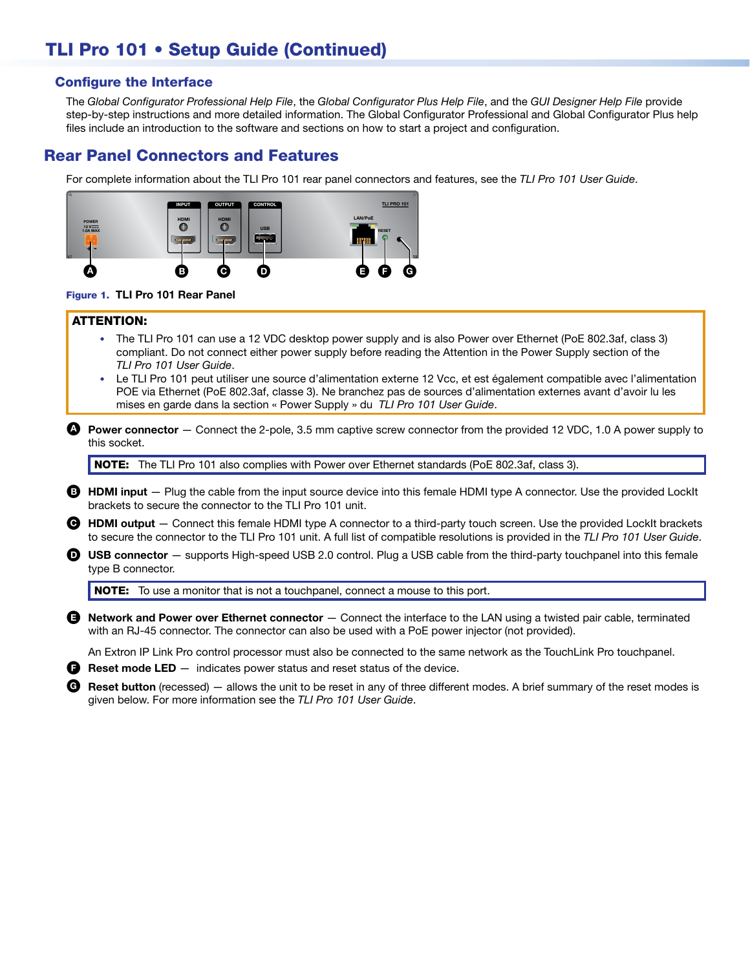# TLI Pro 101 • Setup Guide (Continued)

### Configure the Interface

The *Global Configurator Professional Help File*, the *Global Configurator Plus Help File*, and the *GUI Designer Help File* provide step-by-step instructions and more detailed information. The Global Configurator Professional and Global Configurator Plus help files include an introduction to the software and sections on how to start a project and configuration.

# Rear Panel Connectors and Features

For complete information about the TLI Pro 101 rear panel connectors and features, see the *TLI Pro 101 User Guide*.



#### Figure 1. TLI Pro 101 Rear Panel

#### ATTENTION:

- The TLI Pro 101 can use a 12 VDC desktop power supply and is also Power over Ethernet (PoE 802.3af, class 3) compliant. Do not connect either power supply before reading the Attention in the Power Supply section of the *TLI Pro 101 User Guide*.
- Le TLI Pro 101 peut utiliser une source d'alimentation externe 12 Vcc, et est également compatible avec l'alimentation POE via Ethernet (PoE 802.3af, classe 3). Ne branchez pas de sources d'alimentation externes avant d'avoir lu les mises en garde dans la section « Power Supply » du *TLI Pro 101 User Guide*.
- **A** Power connector  $-$  Connect the 2-pole, 3.5 mm captive screw connector from the provided 12 VDC, 1.0 A power supply to this socket.

NOTE: The TLI Pro 101 also complies with Power over Ethernet standards (PoE 802.3af, class 3).

- **B** HDMI input Plug the cable from the input source device into this female HDMI type A connector. Use the provided LockIt brackets to secure the connector to the TLI Pro 101 unit.
- C HDMI output Connect this female HDMI type A connector to a third-party touch screen. Use the provided LockIt brackets to secure the connector to the TLI Pro 101 unit. A full list of compatible resolutions is provided in the *TLI Pro 101 User Guide*.
- $\bullet$  USB connector  $-$  supports High-speed USB 2.0 control. Plug a USB cable from the third-party touchpanel into this female type B connector.

NOTE: To use a monitor that is not a touchpanel, connect a mouse to this port.

 $\bigoplus$  Network and Power over Ethernet connector  $-$  Connect the interface to the LAN using a twisted pair cable, terminated with an RJ-45 connector. The connector can also be used with a PoE power injector (not provided).

An Extron IP Link Pro control processor must also be connected to the same network as the TouchLink Pro touchpanel.

 $\bullet$  Reset mode LED  $-$  indicates power status and reset status of the device.

G Reset button (recessed)  $-$  allows the unit to be reset in any of three different modes. A brief summary of the reset modes is given below. For more information see the *TLI Pro 101 User Guide*.